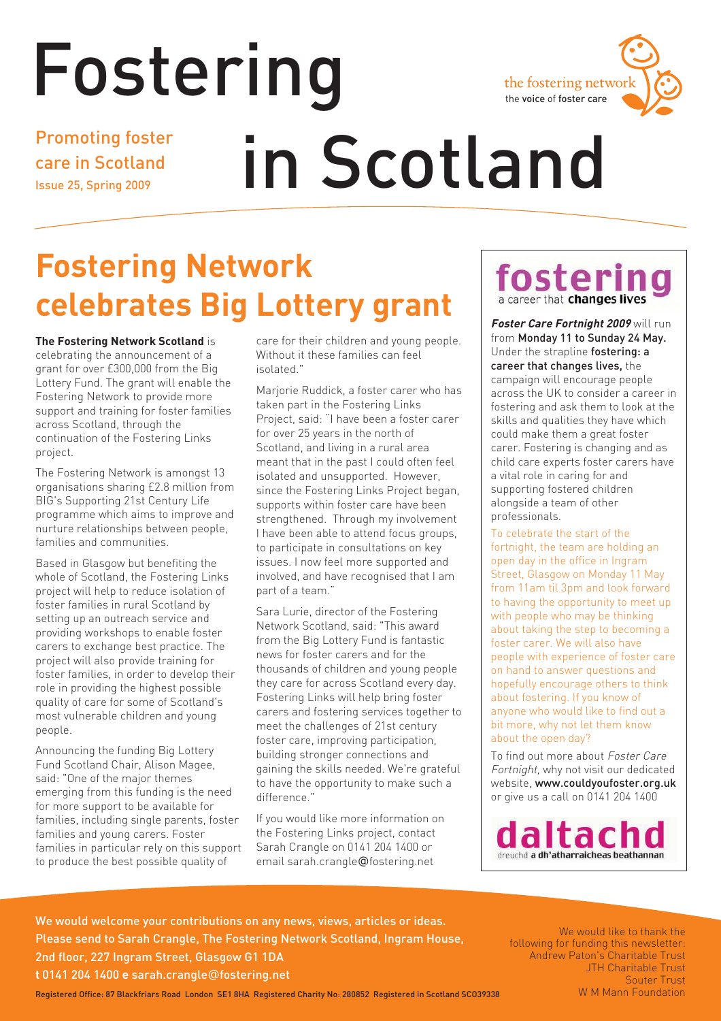



Promoting foster care in Scotland Issue 25, Spring 2009

# in Scotland

# **Fostering Network celebrates Big Lottery grant**

**The Fostering Network Scotland** is celebrating the announcement of a grant for over £300,000 from the Big Lottery Fund. The grant will enable the Fostering Network to provide more support and training for foster families across Scotland, through the continuation of the Fostering Links project.

The Fostering Network is amongst 13 organisations sharing £2.8 million from BIG's Supporting 21st Century Life programme which aims to improve and nurture relationships between people, families and communities.

Based in Glasgow but benefiting the whole of Scotland, the Fostering Links project will help to reduce isolation of foster families in rural Scotland by setting up an outreach service and providing workshops to enable foster carers to exchange best practice. The project will also provide training for foster families, in order to develop their role in providing the highest possible quality of care for some of Scotland's most vulnerable children and young people.

Announcing the funding Big Lottery Fund Scotland Chair, Alison Magee, said: "One of the major themes emerging from this funding is the need for more support to be available for families, including single parents, foster families and young carers. Foster families in particular rely on this support to produce the best possible quality of

care for their children and young people. Without it these families can feel isolated."

Marjorie Ruddick, a foster carer who has taken part in the Fostering Links Project, said: "I have been a foster carer for over 25 years in the north of Scotland, and living in a rural area meant that in the past I could often feel isolated and unsupported. However, since the Fostering Links Project began, supports within foster care have been strengthened. Through my involvement I have been able to attend focus groups, to participate in consultations on key issues. I now feel more supported and involved, and have recognised that I am part of a team."

Sara Lurie, director of the Fostering Network Scotland, said: "This award from the Big Lottery Fund is fantastic news for foster carers and for the thousands of children and young people they care for across Scotland every day. Fostering Links will help bring foster carers and fostering services together to meet the challenges of 21st century foster care, improving participation, building stronger connections and gaining the skills needed. We're grateful to have the opportunity to make such a difference."

If you would like more information on the Fostering Links project, contact Sarah Crangle on 0141 204 1400 or email sarah.crangle@fostering.net

### fosteri a career that changes lives

**Foster Care Fortnight 2009** will run from Monday 11 to Sunday 24 May. Under the strapline fostering: a career that changes lives, the campaign will encourage people across the UK to consider a career in fostering and ask them to look at the skills and qualities they have which could make them a great foster carer. Fostering is changing and as child care experts foster carers have a vital role in caring for and supporting fostered children alongside a team of other professionals.

To celebrate the start of the fortnight, the team are holding an open day in the office in Ingram Street, Glasgow on Monday 11 May from 11am til 3pm and look forward to having the opportunity to meet up with people who may be thinking about taking the step to becoming a foster carer. We will also have people with experience of foster care on hand to answer questions and hopefully encourage others to think about fostering. If you know of anyone who would like to find out a bit more, why not let them know about the open day?

To find out more about Foster Care Fortnight, why not visit our dedicated website, www.couldyoufoster.org.uk or give us a call on 0141 204 1400



We would welcome your contributions on any news, views, articles or ideas. Please send to Sarah Crangle, The Fostering Network Scotland, Ingram House, 2nd floor, 227 Ingram Street, Glasgow G1 1DA **t** 0141 204 1400 **e** sarah.crangle@fostering.net

**W M Mann Foundation** We would like to thank the following for funding this newsletter: Andrew Paton's Charitable Trust JTH Charitable Trust Souter Trust

Registered Office: 87 Blackfriars Road London SE1 8HA Registered Charity No: 280852 Registered in Scotland SCO39338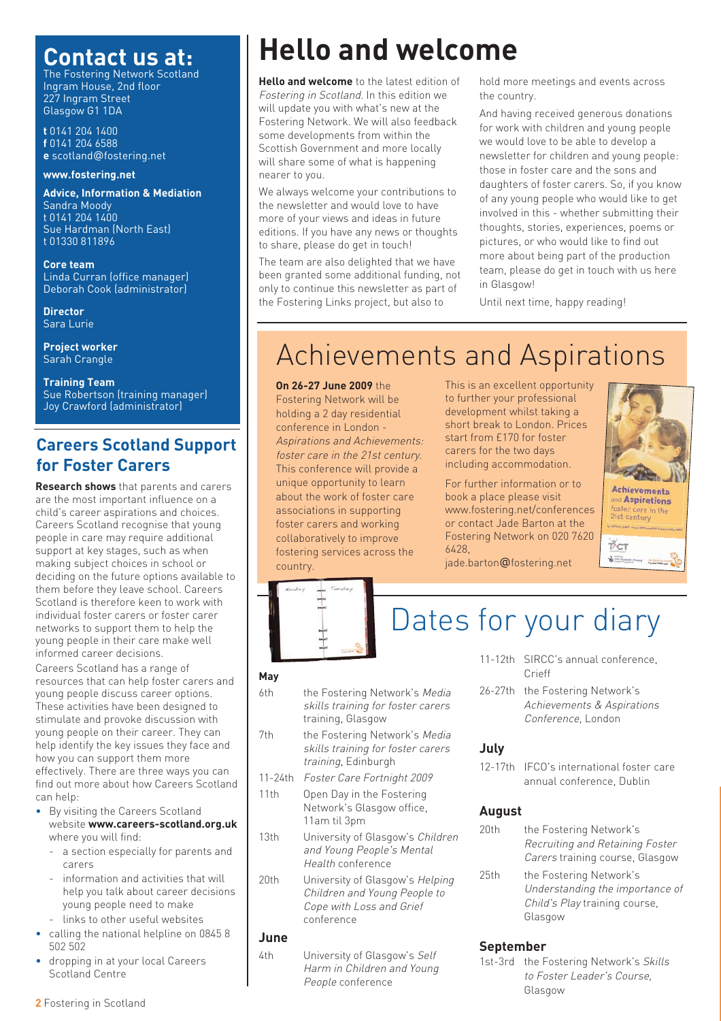### **Contact us at:**

The Fostering Network Scotland Ingram House, 2nd floor 227 Ingram Street Glasgow G1 1DA

**t** 0141 204 1400 **f** 0141 204 6588 **e** scotland@fostering.net

#### **www.fostering.net**

**Advice, Information & Mediation**  Sandra Moody t 0141 204 1400 Sue Hardman (North East) t 01330 811896

**Core team** Linda Curran (office manager) Deborah Cook (administrator)

**Director** Sara Lurie

**Project worker** Sarah Crangle

**Training Team** Sue Robertson (training manager) Joy Crawford (administrator)

### **Careers Scotland Support for Foster Carers**

**Research shows** that parents and carers are the most important influence on a child's career aspirations and choices. Careers Scotland recognise that young people in care may require additional support at key stages, such as when making subject choices in school or deciding on the future options available to them before they leave school. Careers Scotland is therefore keen to work with individual foster carers or foster carer networks to support them to help the young people in their care make well informed career decisions.

Careers Scotland has a range of resources that can help foster carers and young people discuss career options. These activities have been designed to stimulate and provoke discussion with young people on their career. They can help identify the key issues they face and how you can support them more effectively. There are three ways you can find out more about how Careers Scotland can help:

- By visiting the Careers Scotland website **www.careers-scotland.org.uk** where you will find:
	- a section especially for parents and carers
	- information and activities that will help you talk about career decisions young people need to make
	- links to other useful websites
- calling the national helpline on 0845 8 502 502
- dropping in at your local Careers Scotland Centre

# **Hello and welcome**

**Hello and welcome** to the latest edition of Fostering in Scotland. In this edition we will update you with what's new at the Fostering Network. We will also feedback some developments from within the Scottish Government and more locally will share some of what is happening nearer to you.

We always welcome your contributions to the newsletter and would love to have more of your views and ideas in future editions. If you have any news or thoughts to share, please do get in touch!

The team are also delighted that we have been granted some additional funding, not only to continue this newsletter as part of the Fostering Links project, but also to

hold more meetings and events across the country.

And having received generous donations for work with children and young people we would love to be able to develop a newsletter for children and young people: those in foster care and the sons and daughters of foster carers. So, if you know of any young people who would like to get involved in this - whether submitting their thoughts, stories, experiences, poems or pictures, or who would like to find out more about being part of the production team, please do get in touch with us here in Glasgow!

Until next time, happy reading!

# Achievements and Aspirations

**On 26-27 June 2009** the Fostering Network will be holding a 2 day residential conference in London - Aspirations and Achievements: foster care in the 21st century. This conference will provide a unique opportunity to learn about the work of foster care associations in supporting foster carers and working collaboratively to improve fostering services across the country.

Tuesday

This is an excellent opportunity to further your professional development whilst taking a short break to London. Prices start from £170 for foster carers for the two days including accommodation.

For further information or to book a place please visit www.fostering.net/conferences or contact Jade Barton at the Fostering Network on 020 7620 6428,

jade.barton@fostering.net





# Dates for your diary

- **May**
- 6th the Fostering Network's Media skills training for foster carers training, Glasgow
- 7th the Fostering Network's Media skills training for foster carers training, Edinburgh
- 11-24th Foster Care Fortnight 2009
- 11th Open Day in the Fostering Network's Glasgow office, 11am til 3pm
- 13th University of Glasgow's Children and Young People's Mental Health conference
- 20th University of Glasgow's Helping Children and Young People to Cope with Loss and Grief conference

#### **June**

4th University of Glasgow's Self Harm in Children and Young People conference

- 11-12th SIRCC's annual conference, Crieff
- 26-27th the Fostering Network's Achievements & Aspirations Conference, London

#### **July**

12-17th IFCO's international foster care annual conference, Dublin

#### **August**

20th the Fostering Network's Recruiting and Retaining Foster Carers training course, Glasgow 25th the Fostering Network's Understanding the importance of Child's Play training course, Glasgow

#### **September**

1st-3rd the Fostering Network's Skills to Foster Leader's Course, Glasgow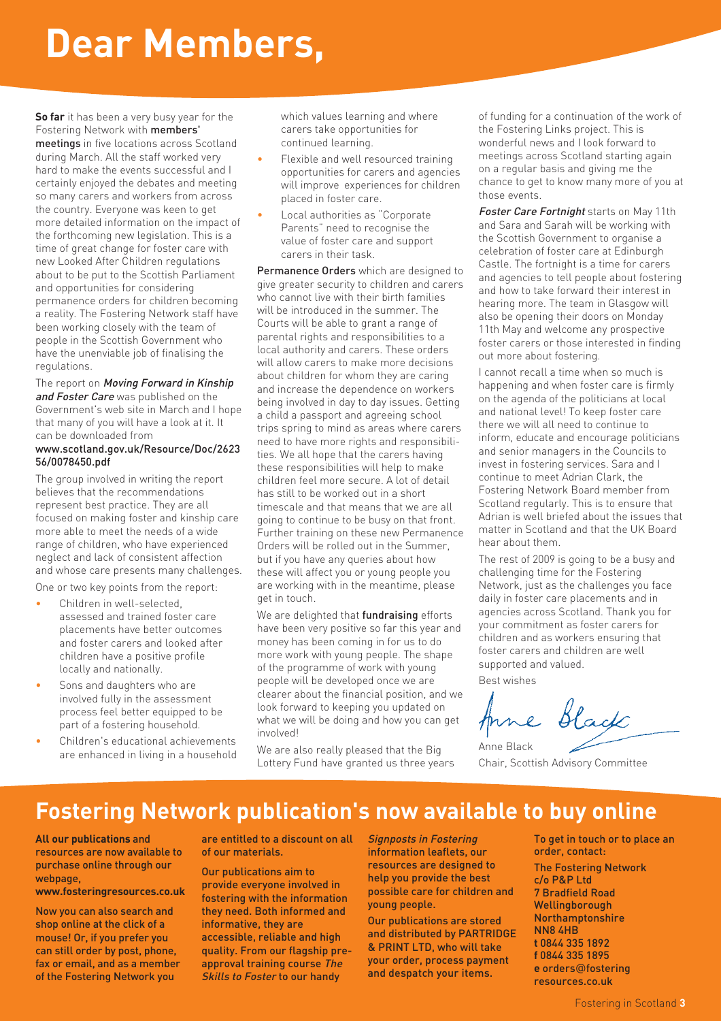# **Dear Members,**

**So far** it has been a very busy year for the Fostering Network with members' meetings in five locations across Scotland during March. All the staff worked very hard to make the events successful and I certainly enjoyed the debates and meeting so many carers and workers from across the country. Everyone was keen to get more detailed information on the impact of the forthcoming new legislation. This is a time of great change for foster care with new Looked After Children regulations about to be put to the Scottish Parliament and opportunities for considering permanence orders for children becoming a reality. The Fostering Network staff have been working closely with the team of people in the Scottish Government who have the unenviable job of finalising the regulations.

The report on Moving Forward in Kinship and Foster Care was published on the Government's web site in March and I hope that many of you will have a look at it. It can be downloaded from

#### www.scotland.gov.uk/Resource/Doc/2623 56/0078450.pdf

The group involved in writing the report believes that the recommendations represent best practice. They are all focused on making foster and kinship care more able to meet the needs of a wide range of children, who have experienced neglect and lack of consistent affection and whose care presents many challenges.

One or two key points from the report:

- Children in well-selected. assessed and trained foster care placements have better outcomes and foster carers and looked after children have a positive profile locally and nationally.
- Sons and daughters who are involved fully in the assessment process feel better equipped to be part of a fostering household.
- Children's educational achievements are enhanced in living in a household

which values learning and where carers take opportunities for continued learning.

- Flexible and well resourced training opportunities for carers and agencies will improve experiences for children placed in foster care.
- Local authorities as "Corporate Parents" need to recognise the value of foster care and support carers in their task.

Permanence Orders which are designed to give greater security to children and carers who cannot live with their birth families will be introduced in the summer. The Courts will be able to grant a range of parental rights and responsibilities to a local authority and carers. These orders will allow carers to make more decisions about children for whom they are caring and increase the dependence on workers being involved in day to day issues. Getting a child a passport and agreeing school trips spring to mind as areas where carers need to have more rights and responsibilities. We all hope that the carers having these responsibilities will help to make children feel more secure. A lot of detail has still to be worked out in a short timescale and that means that we are all going to continue to be busy on that front. Further training on these new Permanence Orders will be rolled out in the Summer, but if you have any queries about how these will affect you or young people you are working with in the meantime, please get in touch.

We are delighted that fundraising efforts have been very positive so far this year and money has been coming in for us to do more work with young people. The shape of the programme of work with young people will be developed once we are clearer about the financial position, and we look forward to keeping you updated on what we will be doing and how you can get involved!

We are also really pleased that the Big Lottery Fund have granted us three years of funding for a continuation of the work of the Fostering Links project. This is wonderful news and I look forward to meetings across Scotland starting again on a regular basis and giving me the chance to get to know many more of you at those events.

Foster Care Fortnight starts on May 11th and Sara and Sarah will be working with the Scottish Government to organise a celebration of foster care at Edinburgh Castle. The fortnight is a time for carers and agencies to tell people about fostering and how to take forward their interest in hearing more. The team in Glasgow will also be opening their doors on Monday 11th May and welcome any prospective foster carers or those interested in finding out more about fostering.

I cannot recall a time when so much is happening and when foster care is firmly on the agenda of the politicians at local and national level! To keep foster care there we will all need to continue to inform, educate and encourage politicians and senior managers in the Councils to invest in fostering services. Sara and I continue to meet Adrian Clark, the Fostering Network Board member from Scotland regularly. This is to ensure that Adrian is well briefed about the issues that matter in Scotland and that the UK Board hear about them.

The rest of 2009 is going to be a busy and challenging time for the Fostering Network, just as the challenges you face daily in foster care placements and in agencies across Scotland. Thank you for your commitment as foster carers for children and as workers ensuring that foster carers and children are well supported and valued.

Best wishes

Black Arne

Anne Black Chair, Scottish Advisory Committee

### **Fostering Network publication's now available to buy online**

#### **All our publications** and

resources are now available to purchase online through our webpage,

**www.fosteringresources.co.uk**

Now you can also search and shop online at the click of a mouse! Or, if you prefer you can still order by post, phone, fax or email, and as a member of the Fostering Network you

are entitled to a discount on all of our materials.

Our publications aim to provide everyone involved in fostering with the information they need. Both informed and informative, they are accessible, reliable and high quality. From our flagship preapproval training course The Skills to Foster to our handy

Signposts in Fostering information leaflets, our resources are designed to help you provide the best possible care for children and young people.

Our publications are stored and distributed by PARTRIDGE & PRINT LTD, who will take your order, process payment and despatch your items.

To get in touch or to place an order, contact:

The Fostering Network c/o P&P Ltd 7 Bradfield Road Wellingborough Northamptonshire NN8 4HB **t** 0844 335 1892 **f** 0844 335 1895 **e** orders@fostering resources.co.uk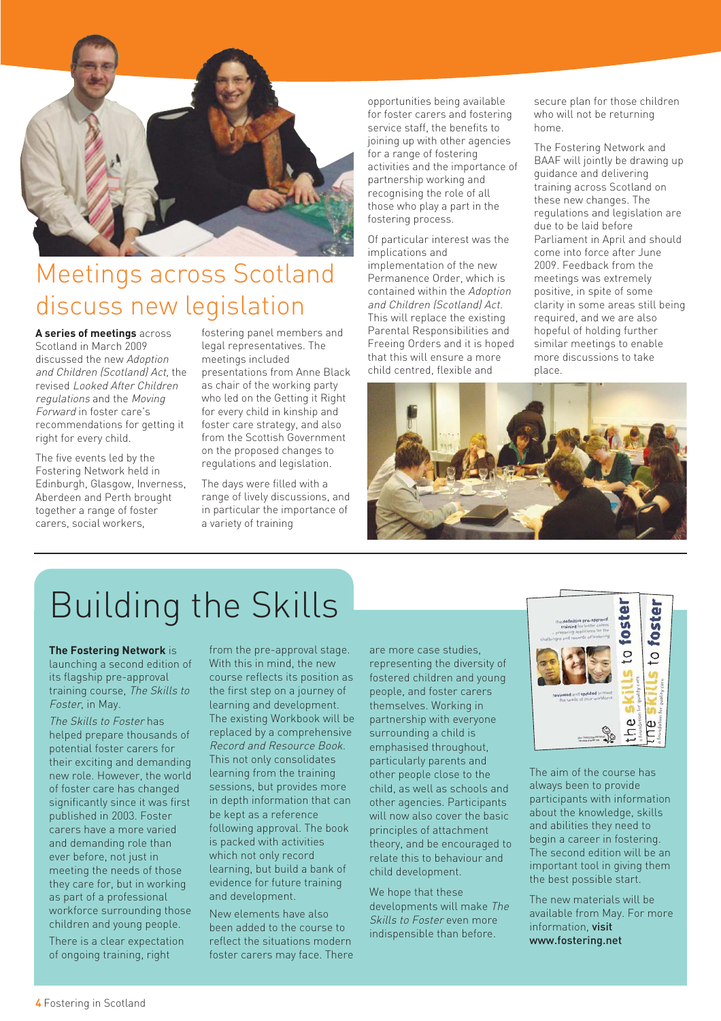

## Meetings across Scotland discuss new legislation

**A series of meetings** across Scotland in March 2009 discussed the new Adoption and Children (Scotland) Act, the revised Looked After Children regulations and the Moving Forward in foster care's recommendations for getting it right for every child.

The five events led by the Fostering Network held in Edinburgh, Glasgow, Inverness, Aberdeen and Perth brought together a range of foster carers, social workers,

fostering panel members and legal representatives. The meetings included presentations from Anne Black as chair of the working party who led on the Getting it Right for every child in kinship and foster care strategy, and also from the Scottish Government on the proposed changes to regulations and legislation.

The days were filled with a range of lively discussions, and in particular the importance of a variety of training

opportunities being available for foster carers and fostering service staff, the benefits to joining up with other agencies for a range of fostering activities and the importance of partnership working and recognising the role of all those who play a part in the fostering process.

Of particular interest was the implications and implementation of the new Permanence Order, which is contained within the Adoption and Children (Scotland) Act. This will replace the existing Parental Responsibilities and Freeing Orders and it is hoped that this will ensure a more child centred, flexible and

secure plan for those children who will not be returning home.

The Fostering Network and BAAF will jointly be drawing up guidance and delivering training across Scotland on these new changes. The regulations and legislation are due to be laid before Parliament in April and should come into force after June 2009. Feedback from the meetings was extremely positive, in spite of some clarity in some areas still being required, and we are also hopeful of holding further similar meetings to enable more discussions to take place.



# Building the Skills

#### **The Fostering Network** is launching a second edition of its flagship pre-approval training course, The Skills to Foster, in May.

The Skills to Foster has helped prepare thousands of potential foster carers for their exciting and demanding new role. However, the world of foster care has changed significantly since it was first published in 2003. Foster carers have a more varied and demanding role than ever before, not just in meeting the needs of those they care for, but in working as part of a professional workforce surrounding those children and young people.

There is a clear expectation of ongoing training, right

from the pre-approval stage. With this in mind, the new course reflects its position as the first step on a journey of learning and development. The existing Workbook will be replaced by a comprehensive Record and Resource Book. This not only consolidates learning from the training sessions, but provides more in depth information that can be kept as a reference following approval. The book is packed with activities which not only record learning, but build a bank of evidence for future training and development.

New elements have also been added to the course to reflect the situations modern foster carers may face. There are more case studies, representing the diversity of fostered children and young people, and foster carers themselves. Working in partnership with everyone surrounding a child is emphasised throughout, particularly parents and other people close to the child, as well as schools and other agencies. Participants will now also cover the basic principles of attachment theory, and be encouraged to relate this to behaviour and child development.

We hope that these developments will make The Skills to Foster even more indispensible than before.



The aim of the course has always been to provide participants with information about the knowledge, skills and abilities they need to begin a career in fostering. The second edition will be an important tool in giving them the best possible start.

The new materials will be available from May. For more information visit www.fostering.net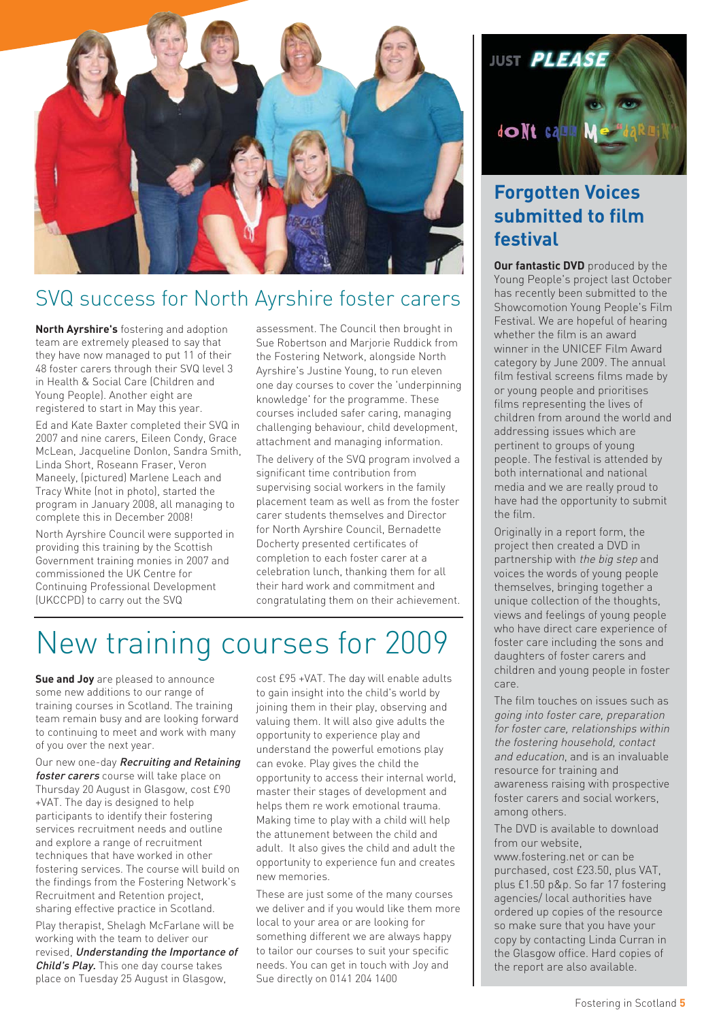

### SVQ success for North Ayrshire foster carers

**North Ayrshire's** fostering and adoption team are extremely pleased to say that they have now managed to put 11 of their 48 foster carers through their SVQ level 3 in Health & Social Care (Children and Young People). Another eight are registered to start in May this year.

Ed and Kate Baxter completed their SVQ in 2007 and nine carers, Eileen Condy, Grace McLean, Jacqueline Donlon, Sandra Smith, Linda Short, Roseann Fraser, Veron Maneely, (pictured) Marlene Leach and Tracy White (not in photo), started the program in January 2008, all managing to complete this in December 2008!

North Ayrshire Council were supported in providing this training by the Scottish Government training monies in 2007 and commissioned the UK Centre for Continuing Professional Development (UKCCPD) to carry out the SVQ

assessment. The Council then brought in Sue Robertson and Marjorie Ruddick from the Fostering Network, alongside North Ayrshire's Justine Young, to run eleven one day courses to cover the 'underpinning knowledge' for the programme. These courses included safer caring, managing challenging behaviour, child development, attachment and managing information.

The delivery of the SVQ program involved a significant time contribution from supervising social workers in the family placement team as well as from the foster carer students themselves and Director for North Ayrshire Council, Bernadette Docherty presented certificates of completion to each foster carer at a celebration lunch, thanking them for all their hard work and commitment and congratulating them on their achievement.

# New training courses for 2009

**Sue and Joy** are pleased to announce some new additions to our range of training courses in Scotland. The training team remain busy and are looking forward to continuing to meet and work with many of you over the next year.

Our new one-day Recruiting and Retaining foster carers course will take place on Thursday 20 August in Glasgow, cost £90 +VAT. The day is designed to help participants to identify their fostering services recruitment needs and outline and explore a range of recruitment techniques that have worked in other fostering services. The course will build on the findings from the Fostering Network's Recruitment and Retention project, sharing effective practice in Scotland.

Play therapist, Shelagh McFarlane will be working with the team to deliver our revised, Understanding the Importance of Child's Play. This one day course takes place on Tuesday 25 August in Glasgow,

cost £95 +VAT. The day will enable adults to gain insight into the child's world by joining them in their play, observing and valuing them. It will also give adults the opportunity to experience play and understand the powerful emotions play can evoke. Play gives the child the opportunity to access their internal world, master their stages of development and helps them re work emotional trauma. Making time to play with a child will help the attunement between the child and adult. It also gives the child and adult the opportunity to experience fun and creates new memories.

These are just some of the many courses we deliver and if you would like them more local to your area or are looking for something different we are always happy to tailor our courses to suit your specific needs. You can get in touch with Joy and Sue directly on 0141 204 1400



### **Forgotten Voices submitted to film festival**

**Our fantastic DVD** produced by the Young People's project last October has recently been submitted to the Showcomotion Young People's Film Festival. We are hopeful of hearing whether the film is an award winner in the UNICEF Film Award category by June 2009. The annual film festival screens films made by or young people and prioritises films representing the lives of children from around the world and addressing issues which are pertinent to groups of young people. The festival is attended by both international and national media and we are really proud to have had the opportunity to submit the film.

Originally in a report form, the project then created a DVD in partnership with the big step and voices the words of young people themselves, bringing together a unique collection of the thoughts, views and feelings of young people who have direct care experience of foster care including the sons and daughters of foster carers and children and young people in foster care.

The film touches on issues such as going into foster care, preparation for foster care, relationships within the fostering household, contact and education, and is an invaluable resource for training and awareness raising with prospective foster carers and social workers, among others.

The DVD is available to download from our website

www.fostering.net or can be purchased, cost £23.50, plus VAT, plus £1.50 p&p. So far 17 fostering agencies/ local authorities have ordered up copies of the resource so make sure that you have your copy by contacting Linda Curran in the Glasgow office. Hard copies of the report are also available.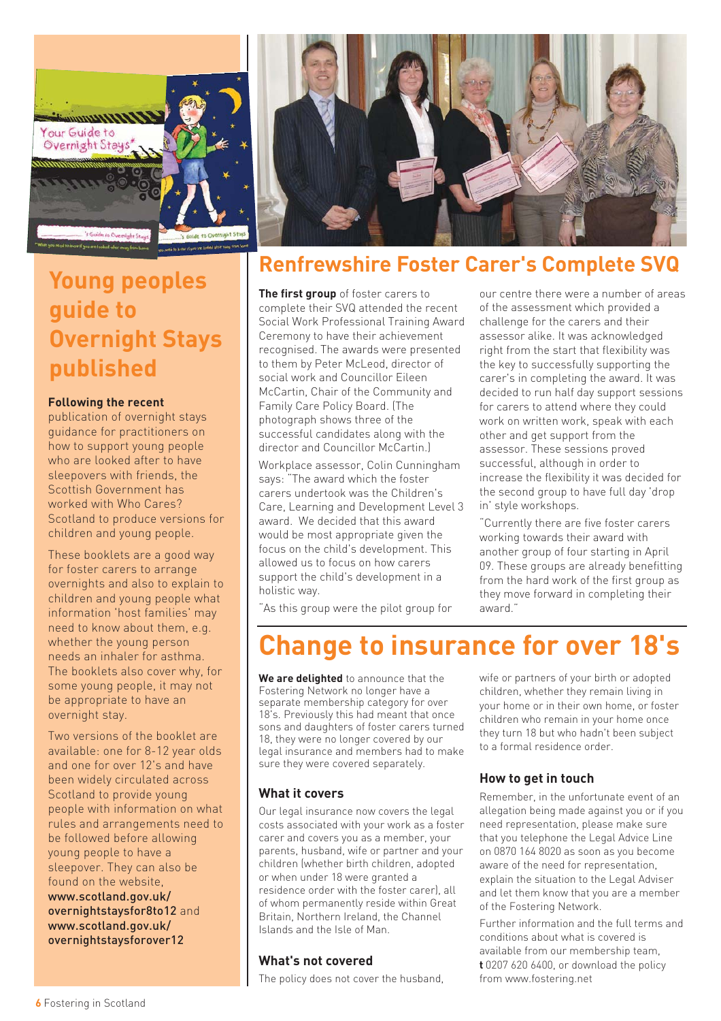

### **Young peoples guide to Overnight Stays published**

#### **Following the recent**

publication of overnight stays guidance for practitioners on how to support young people who are looked after to have sleepovers with friends, the Scottish Government has worked with Who Cares? Scotland to produce versions for children and young people.

These booklets are a good way for foster carers to arrange overnights and also to explain to children and young people what information 'host families' may need to know about them, e.g. whether the young person needs an inhaler for asthma. The booklets also cover why, for some young people, it may not be appropriate to have an overnight stay.

Two versions of the booklet are available: one for 8-12 year olds and one for over 12's and have been widely circulated across Scotland to provide young people with information on what rules and arrangements need to be followed before allowing young people to have a sleepover. They can also be found on the website, www.scotland.gov.uk/ overnightstaysfor8to12 and www.scotland.gov.uk/ overnightstaysforover12



### **Renfrewshire Foster Carer's Complete SVQ**

**The first group** of foster carers to complete their SVQ attended the recent Social Work Professional Training Award Ceremony to have their achievement recognised. The awards were presented to them by Peter McLeod, director of social work and Councillor Eileen McCartin, Chair of the Community and Family Care Policy Board. (The photograph shows three of the successful candidates along with the director and Councillor McCartin.)

Workplace assessor, Colin Cunningham says: "The award which the foster carers undertook was the Children's Care, Learning and Development Level 3 award. We decided that this award would be most appropriate given the focus on the child's development. This allowed us to focus on how carers support the child's development in a holistic way.

our centre there were a number of areas of the assessment which provided a challenge for the carers and their assessor alike. It was acknowledged right from the start that flexibility was the key to successfully supporting the carer's in completing the award. It was decided to run half day support sessions for carers to attend where they could work on written work, speak with each other and get support from the assessor. These sessions proved successful, although in order to increase the flexibility it was decided for the second group to have full day 'drop in' style workshops.

"Currently there are five foster carers working towards their award with another group of four starting in April 09. These groups are already benefitting from the hard work of the first group as they move forward in completing their award."

"As this group were the pilot group for

# **Change to insurance for over 18's**

**We are delighted** to announce that the Fostering Network no longer have a separate membership category for over 18's. Previously this had meant that once sons and daughters of foster carers turned 18, they were no longer covered by our legal insurance and members had to make sure they were covered separately.

#### **What it covers**

Our legal insurance now covers the legal costs associated with your work as a foster carer and covers you as a member, your parents, husband, wife or partner and your children (whether birth children, adopted or when under 18 were granted a residence order with the foster carer), all of whom permanently reside within Great Britain, Northern Ireland, the Channel Islands and the Isle of Man.

#### **What's not covered**

The policy does not cover the husband,

wife or partners of your birth or adopted children, whether they remain living in your home or in their own home, or foster children who remain in your home once they turn 18 but who hadn't been subject to a formal residence order.

#### **How to get in touch**

Remember, in the unfortunate event of an allegation being made against you or if you need representation, please make sure that you telephone the Legal Advice Line on 0870 164 8020 as soon as you become aware of the need for representation, explain the situation to the Legal Adviser and let them know that you are a member of the Fostering Network.

Further information and the full terms and conditions about what is covered is available from our membership team, **t** 0207 620 6400, or download the policy from www.fostering.net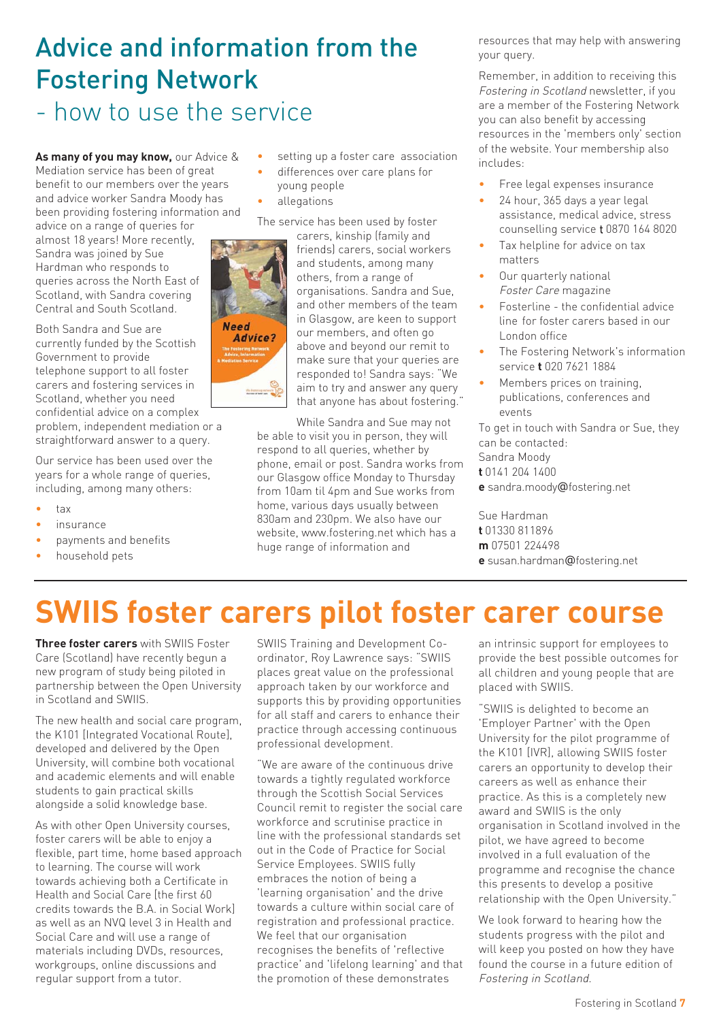### Advice and information from the Fostering Network - how to use the service

**As many of you may know,** our Advice & Mediation service has been of great benefit to our members over the years and advice worker Sandra Moody has been providing fostering information and

advice on a range of queries for almost 18 years! More recently, Sandra was joined by Sue Hardman who responds to queries across the North East of Scotland, with Sandra covering Central and South Scotland.

Both Sandra and Sue are currently funded by the Scottish Government to provide telephone support to all foster carers and fostering services in Scotland, whether you need confidential advice on a complex problem, independent mediation or a straightforward answer to a query.

Our service has been used over the years for a whole range of queries, including, among many others:

- $t \geq v$
- *insurance*
- payments and benefits
- household pets
- setting up a foster care association
- differences over care plans for young people
- allegations

The service has been used by foster



carers, kinship (family and friends) carers, social workers and students, among many others, from a range of organisations. Sandra and Sue, and other members of the team in Glasgow, are keen to support our members, and often go above and beyond our remit to make sure that your queries are responded to! Sandra says: "We aim to try and answer any query that anyone has about fostering."

While Sandra and Sue may not be able to visit you in person, they will respond to all queries, whether by phone, email or post. Sandra works from our Glasgow office Monday to Thursday from 10am til 4pm and Sue works from home, various days usually between 830am and 230pm. We also have our website, www.fostering.net which has a huge range of information and

resources that may help with answering your query.

Remember, in addition to receiving this Fostering in Scotland newsletter, if you are a member of the Fostering Network you can also benefit by accessing resources in the 'members only' section of the website. Your membership also includes:

- Free legal expenses insurance
- 24 hour, 365 days a year legal assistance, medical advice, stress counselling service t 0870 164 8020
- Tax helpline for advice on tax matters
- Our quarterly national Foster Care magazine
- Fosterline the confidential advice line for foster carers based in our London office
- The Fostering Network's information service **t** 020 7621 1884
- events

To get in touch with Sandra or Sue, they can be contacted: Sandra Moody

- **t** 0141 204 1400
- **e** sandra.moody@fostering.net

Sue Hardman **t** 01330 811896 **m** 07501 224498 **e** susan.hardman@fostering.net

# **SWIIS foster carers pilot foster carer course**

**Three foster carers** with SWIIS Foster Care (Scotland) have recently begun a new program of study being piloted in partnership between the Open University in Scotland and SWIIS.

The new health and social care program, the K101 [Integrated Vocational Route], developed and delivered by the Open University, will combine both vocational and academic elements and will enable students to gain practical skills alongside a solid knowledge base.

As with other Open University courses, foster carers will be able to enjoy a flexible, part time, home based approach to learning. The course will work towards achieving both a Certificate in Health and Social Care [the first 60 credits towards the B.A. in Social Work] as well as an NVQ level 3 in Health and Social Care and will use a range of materials including DVDs, resources, workgroups, online discussions and regular support from a tutor.

SWIIS Training and Development Coordinator, Roy Lawrence says: "SWIIS places great value on the professional approach taken by our workforce and supports this by providing opportunities for all staff and carers to enhance their practice through accessing continuous professional development.

"We are aware of the continuous drive towards a tightly regulated workforce through the Scottish Social Services Council remit to register the social care workforce and scrutinise practice in line with the professional standards set out in the Code of Practice for Social Service Employees. SWIIS fully embraces the notion of being a 'learning organisation' and the drive towards a culture within social care of registration and professional practice. We feel that our organisation recognises the benefits of 'reflective practice' and 'lifelong learning' and that the promotion of these demonstrates

an intrinsic support for employees to provide the best possible outcomes for all children and young people that are placed with SWIIS.

"SWIIS is delighted to become an 'Employer Partner' with the Open University for the pilot programme of the K101 [IVR], allowing SWIIS foster carers an opportunity to develop their careers as well as enhance their practice. As this is a completely new award and SWIIS is the only organisation in Scotland involved in the pilot, we have agreed to become involved in a full evaluation of the programme and recognise the chance this presents to develop a positive relationship with the Open University."

We look forward to hearing how the students progress with the pilot and will keep you posted on how they have found the course in a future edition of Fostering in Scotland.

# Members prices on training, publications, conferences and